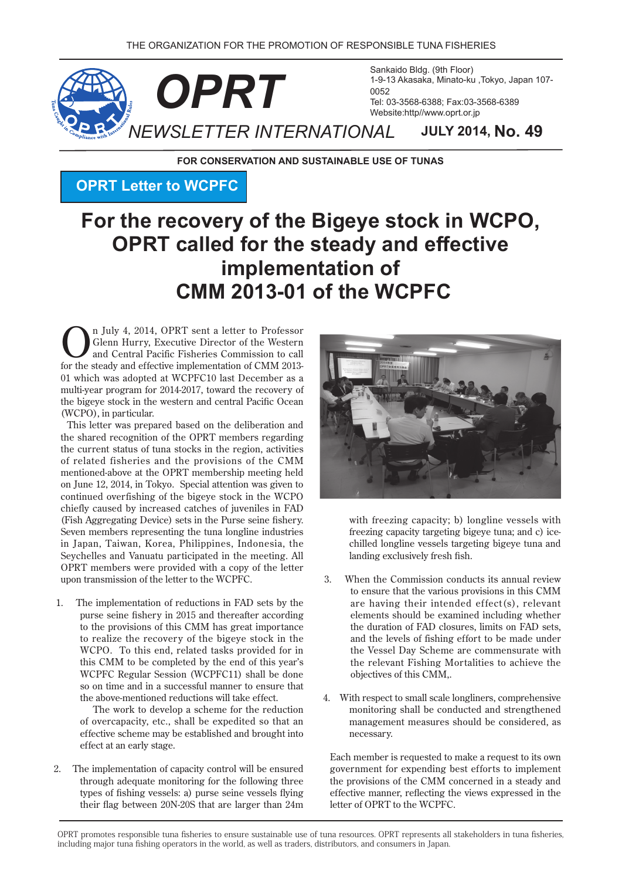

**FOR CONSERVATION AND SUSTAINABLE USE OF TUNAS** 

## **OPRT Letter to WCPFC**

# For the recovery of the Bigeye stock in WCPO, **OPRT** called for the steady and effective **implementation** of **CMM 2013-01 of the WCPFC**

**Comparison State 1 and State 1 and Central Pacific Fisheries Commission to call**<br>for the steady and different implementation of CMM 2012 Glenn Hurry, Executive Director of the Western and Central Pacific Fisheries Commission to call for the steady and effective implementation of CMM 2013-01 which was adopted at WCPFC10 last December as a multi-year program for 2014-2017, toward the recovery of the bigeye stock in the western and central Pacific Ocean (WCPO), in particular.

This letter was prepared based on the deliberation and the shared recognition of the OPRT members regarding the current status of tuna stocks in the region, activities of related fisheries and the provisions of the CMM mentioned-above at the OPRT membership meeting held on June 12, 2014, in Tokyo. Special attention was given to continued overfishing of the bigeye stock in the WCPO chiefly caused by increased catches of juveniles in FAD (Fish Aggregating Device) sets in the Purse seine fishery. Seven members representing the tuna longline industries in Japan, Taiwan, Korea, Philippines, Indonesia, the Seychelles and Vanuatu participated in the meeting. All OPRT members were provided with a copy of the letter upon transmission of the letter to the WCPFC.

1. The implementation of reductions in FAD sets by the purse seine fishery in 2015 and thereafter according to the provisions of this CMM has great importance to realize the recovery of the bigeye stock in the WCPO. To this end, related tasks provided for in this CMM to be completed by the end of this year's WCPFC Regular Session (WCPFC11) shall be done so on time and in a successful manner to ensure that the above-mentioned reductions will take effect.

The work to develop a scheme for the reduction of overcapacity, etc., shall be expedited so that an effective scheme may be established and brought into effect at an early stage.

2. The implementation of capacity control will be ensured through adequate monitoring for the following three types of fishing vessels: a) purse seine vessels flying their flag between 20N-20S that are larger than 24m



with freezing capacity; b) longline vessels with chilled longline vessels targeting bigeye tuna and freezing capacity targeting bigeye tuna; and c) icelanding exclusively fresh fish.

- 3. When the Commission conducts its annual review to ensure that the various provisions in this CMM are having their intended effect(s), relevant elements should be examined including whether the duration of FAD closures, limits on FAD sets, and the levels of fishing effort to be made under the Vessel Day Scheme are commensurate with the relevant Fishing Mortalities to achieve the objectives of this CMM..
- 4. With respect to small scale longliners, comprehensive monitoring shall be conducted and strengthened management measures should be considered, as .necessary

Each member is requested to make a request to its own government for expending best efforts to implement the provisions of the CMM concerned in a steady and effective manner, reflecting the views expressed in the letter of OPRT to the WCPFC.

OPRT promotes responsible tuna fisheries to ensure sustainable use of tuna resources. OPRT represents all stakeholders in tuna fisheries, including major tuna fishing operators in the world, as well as traders, distributors, and consumers in Japan.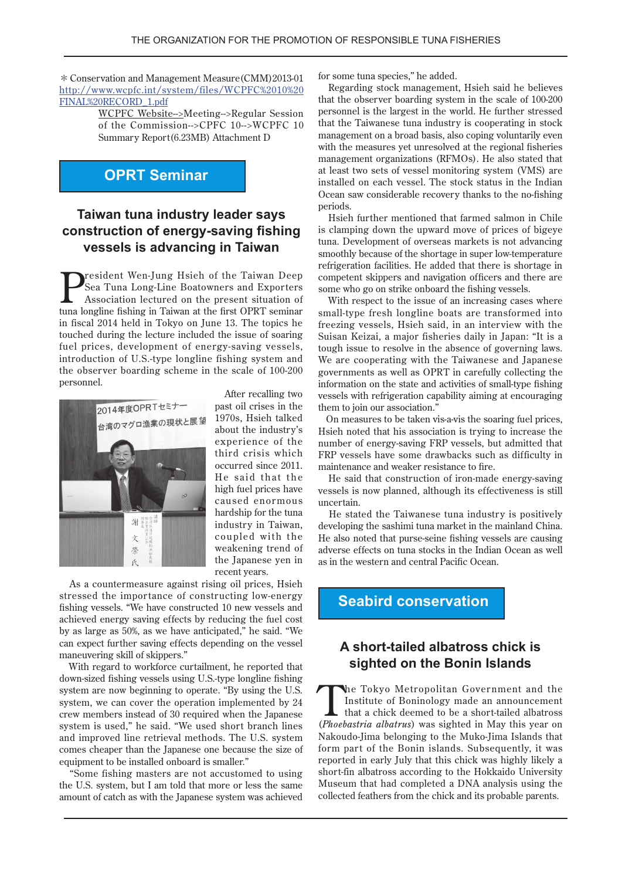$*$  Conservation and Management Measure (CMM) 2013-01 http://www.wcpfc.int/system/files/WCPFC%2010%20 FINAL%20RECORD\_1.pdf

> WCPFC Website-->Meeting-->Regular Session of the Commission-->CPFC 10-->WCPFC 10 Summary Report (6.23MB) Attachment D

## **OPRT** Seminar

## **Taiwan tuna industry leader says construction of energy-saving fishing vessels is advancing in Taiwan**

resident Wen-Jung Hsieh of the Taiwan Deep Sea Tuna Long-Line Boatowners and Exporters Association lectured on the present situation of tuna longline fishing in Taiwan at the first OPRT seminar in fiscal 2014 held in Tokyo on June 13. The topics he touched during the lecture included the issue of soaring fuel prices, development of energy-saving vessels, introduction of U.S.-type longline fishing system and the observer boarding scheme in the scale of 100-200 .personnel



After recalling two past oil crises in the 1970s, Hsieh talked about the industry's experience of the third crisis which occurred since 2011. He said that the high fuel prices have caused enormous hardship for the tuna industry in Taiwan, coupled with the weakening trend of the Japanese yen in recent vears.

As a countermeasure against rising oil prices, Hsieh stressed the importance of constructing low-energy fishing vessels. "We have constructed 10 new vessels and achieved energy saving effects by reducing the fuel cost by as large as 50%, as we have anticipated," he said. "We can expect further saving effects depending on the vessel maneuvering skill of skippers."

With regard to workforce curtailment, he reported that down-sized fishing vessels using U.S.-type longline fishing system are now beginning to operate. "By using the U.S. system, we can cover the operation implemented by 24 crew members instead of 30 required when the Japanese system is used," he said. "We used short branch lines and improved line retrieval methods. The U.S. system comes cheaper than the Japanese one because the size of equipment to be installed onboard is smaller."

"Some fishing masters are not accustomed to using the U.S. system, but I am told that more or less the same amount of catch as with the Japanese system was achieved

for some tuna species," he added.

Regarding stock management, Hsieh said he believes that the observer boarding system in the scale of  $100-200$ personnel is the largest in the world. He further stressed that the Taiwanese tuna industry is cooperating in stock management on a broad basis, also coping voluntarily even with the measures yet unresolved at the regional fisheries management organizations (RFMOs). He also stated that at least two sets of vessel monitoring system (VMS) are installed on each vessel. The stock status in the Indian Ocean saw considerable recovery thanks to the no-fishing .periods

Hsieh further mentioned that farmed salmon in Chile is clamping down the upward move of prices of bigeye tuna. Development of overseas markets is not advancing smoothly because of the shortage in super low-temperature refrigeration facilities. He added that there is shortage in competent skippers and navigation officers and there are some who go on strike onboard the fishing vessels.

With respect to the issue of an increasing cases where small-type fresh longline boats are transformed into freezing vessels, Hsieh said, in an interview with the Suisan Keizai, a major fisheries daily in Japan: "It is a tough issue to resolve in the absence of governing laws. We are cooperating with the Taiwanese and Japanese governments as well as OPRT in carefully collecting the information on the state and activities of small-type fishing vessels with refrigeration capability aiming at encouraging them to join our association."

On measures to be taken vis-a-vis the soaring fuel prices, Hsieh noted that his association is trying to increase the number of energy-saving-FRP vessels, but admitted that FRP vessels have some drawbacks such as difficulty in maintenance and weaker resistance to fire.

He said that construction of iron-made energy-saving vessels is now planned, although its effectiveness is still .uncertain

He stated the Taiwanese tuna industry is positively developing the sashimi tuna market in the mainland China. He also noted that purse-seine fishing vessels are causing adverse effects on tuna stocks in the Indian Ocean as well as in the western and central Pacific Ocean.

**Seabird conservation** 

## **A** short-tailed albatross chick is **In sighted on the Bonin Islands**

The Tokyo Metropolitan Government and the<br>
Institute of Boninology made an announcement<br>
that a chick deemed to be a short-tailed albatross<br>
(*Phoebsetwie, albatros*) was sighted in May this year on Institute of Boninology made an announcement (Phoebastria albatrus) was sighted in May this year on Nakoudo-Jima belonging to the Muko-Jima Islands that form part of the Bonin islands. Subsequently, it was reported in early July that this chick was highly likely a short-fin albatross according to the Hokkaido University Museum that had completed a DNA analysis using the collected feathers from the chick and its probable parents.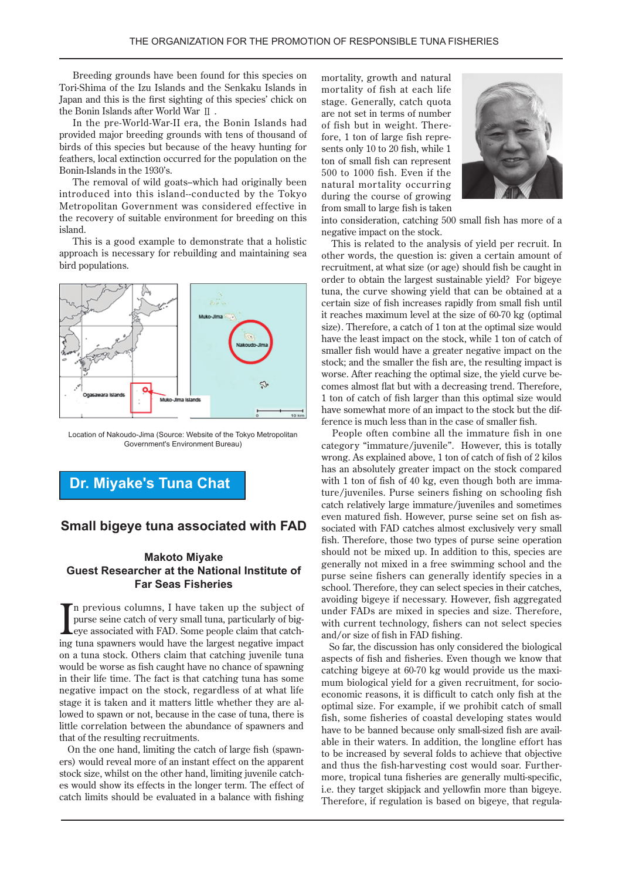Breeding grounds have been found for this species on Tori-Shima of the Izu Islands and the Senkaku Islands in Japan and this is the first sighting of this species' chick on the Bonin Islands after World War II.

In the pre-World-War-II era, the Bonin Islands had provided major breeding grounds with tens of thousand of birds of this species but because of the heavy hunting for feathers, local extinction occurred for the population on the Bonin-Islands in the 1930's.

The removal of wild goats-which had originally been introduced into this island--conducted by the Tokyo Metropolitan Government was considered effective in the recovery of suitable environment for breeding on this .island

This is a good example to demonstrate that a holistic approach is necessary for rebuilding and maintaining sea bird populations.



Location of Nakoudo-Jima (Source: Website of the Tokyo Metropolitan Government's Environment Bureau)

**Dr. Miyake's Tuna Chat** 

#### **Small bigeye tuna associated with FAD**

#### **Makoto Miyake Guest Researcher at the National Institute of Far Seas Fisheries**

In previous columns, I have taken up the subject of purse seine catch of very small tuna, particularly of big-<br>eye associated with FAD. Some people claim that catching tuna spawners would have the largest negative impact In previous columns, I have taken up the subject of Leye associated with FAD. Some people claim that catchpurse seine catch of very small tuna, particularly of bigon a tuna stock. Others claim that catching juvenile tuna would be worse as fish caught have no chance of spawning in their life time. The fact is that catching tuna has some negative impact on the stock, regardless of at what life stage it is taken and it matters little whether they are allowed to spawn or not, because in the case of tuna, there is little correlation between the abundance of spawners and that of the resulting recruitments.

ers) would reveal more of an instant effect on the apparent On the one hand, limiting the catch of large fish (spawnes would show its effects in the longer term. The effect of stock size, whilst on the other hand, limiting juvenile catchcatch limits should be evaluated in a balance with fishing

mortality, growth and natural mortality of fish at each life stage. Generally, catch quota are not set in terms of number sents only 10 to 20 fish, while 1 fore, 1 ton of large fish repreof fish but in weight. Thereton of small fish can represent  $500$  to  $1000$  fish. Even if the natural mortality occurring during the course of growing from small to large fish is taken



into consideration, catching 500 small fish has more of a negative impact on the stock.

This is related to the analysis of yield per recruit. In other words, the question is: given a certain amount of recruitment, at what size (or age) should fish be caught in order to obtain the largest sustainable yield? For bigeye tuna, the curve showing yield that can be obtained at a certain size of fish increases rapidly from small fish until it reaches maximum level at the size of  $60-70$  kg (optimal size). Therefore, a catch of 1 ton at the optimal size would have the least impact on the stock, while 1 ton of catch of smaller fish would have a greater negative impact on the stock; and the smaller the fish are, the resulting impact is comes almost flat but with a decreasing trend. Therefore, worse. After reaching the optimal size, the yield curve be-1 ton of catch of fish larger than this optimal size would ference is much less than in the case of smaller fish. have somewhat more of an impact to the stock but the dif-

People often combine all the immature fish in one category "immature/juvenile". However, this is totally wrong. As explained above, 1 ton of catch of fish of 2 kilos has an absolutely greater impact on the stock compared ture/juveniles. Purse seiners fishing on schooling fish with 1 ton of fish of 40 kg, even though both are immacatch relatively large immature/juveniles and sometimes sociated with FAD catches almost exclusively very small even matured fish. However, purse seine set on fish asfish. Therefore, those two types of purse seine operation should not be mixed up. In addition to this, species are generally not mixed in a free swimming school and the purse seine fishers can generally identify species in a school. Therefore, they can select species in their catches, avoiding bigeye if necessary. However, fish aggregated under FADs are mixed in species and size. Therefore, with current technology, fishers can not select species and/or size of fish in FAD fishing.

So far, the discussion has only considered the biological aspects of fish and fisheries. Even though we know that mum biological yield for a given recruitment, for socio-<br>economic reasons, it is difficult to catch only fish at the catching bigeye at 60-70 kg would provide us the maximum biological yield for a given recruitment, for sociocatching bigeye at  $60-70$  kg would provide us the maxioptimal size. For example, if we prohibit catch of small fish, some fisheries of coastal developing states would able in their waters. In addition, the longline effort has have to be banned because only small-sized fish are availto be increased by several folds to achieve that objective more, tropical tuna fisheries are generally multi-specific, and thus the fish-harvesting cost would soar. Furtheri.e. they target skipjack and yellowfin more than bigeye. Therefore, if regulation is based on bigeye, that regula-